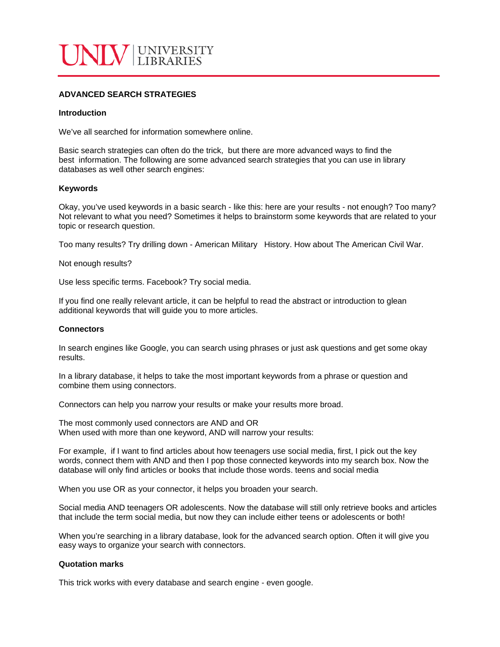

# **ADVANCED SEARCH STRATEGIES**

#### **Introduction**

We've all searched for information somewhere online.

Basic search strategies can often do the trick, but there are more advanced ways to find the best information. The following are some advanced search strategies that you can use in library databases as well other search engines:

#### **Keywords**

Okay, you've used keywords in a basic search - like this: here are your results - not enough? Too many? Not relevant to what you need? Sometimes it helps to brainstorm some keywords that are related to your topic or research question.

Too many results? Try drilling down - American Military History. How about The American Civil War.

Not enough results?

Use less specific terms. Facebook? Try social media.

If you find one really relevant article, it can be helpful to read the abstract or introduction to glean additional keywords that will guide you to more articles.

## **Connectors**

In search engines like Google, you can search using phrases or just ask questions and get some okay results.

In a library database, it helps to take the most important keywords from a phrase or question and combine them using connectors.

Connectors can help you narrow your results or make your results more broad.

The most commonly used connectors are AND and OR When used with more than one keyword, AND will narrow your results:

For example, if I want to find articles about how teenagers use social media, first, I pick out the key words, connect them with AND and then I pop those connected keywords into my search box. Now the database will only find articles or books that include those words. teens and social media

When you use OR as your connector, it helps you broaden your search.

Social media AND teenagers OR adolescents. Now the database will still only retrieve books and articles that include the term social media, but now they can include either teens or adolescents or both!

When you're searching in a library database, look for the advanced search option. Often it will give you easy ways to organize your search with connectors.

## **Quotation marks**

This trick works with every database and search engine - even google.